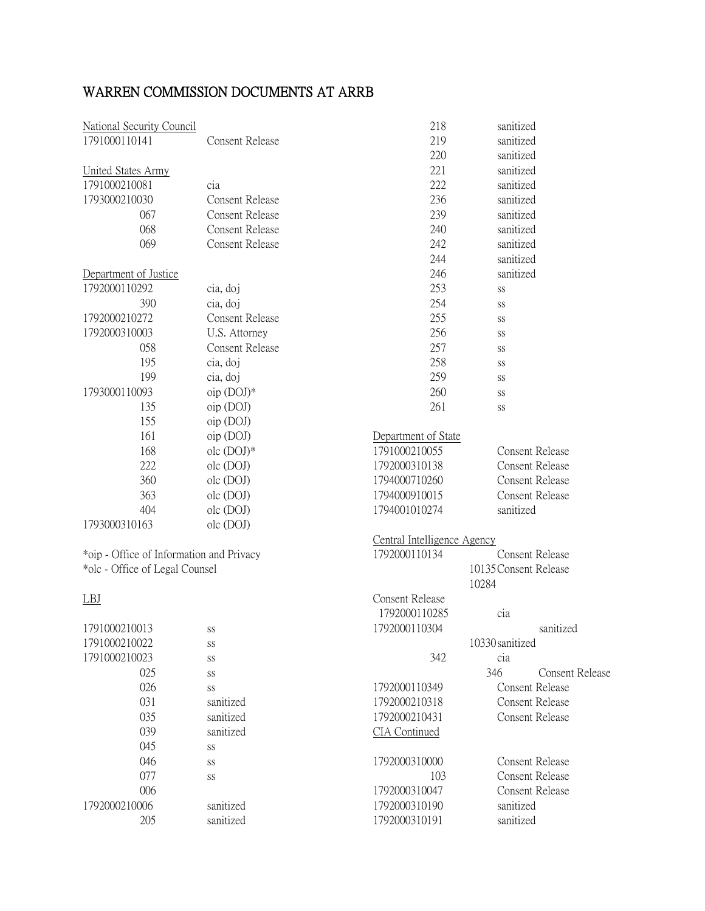| <b>National Security Council</b>         |                        | 218                         | sanitized       |                        |
|------------------------------------------|------------------------|-----------------------------|-----------------|------------------------|
| 1791000110141                            | <b>Consent Release</b> | 219                         | sanitized       |                        |
|                                          |                        | 220                         | sanitized       |                        |
| <b>United States Army</b>                |                        | 221                         | sanitized       |                        |
| 1791000210081                            | cia                    | 222                         | sanitized       |                        |
| 1793000210030                            | <b>Consent Release</b> | 236                         | sanitized       |                        |
| 067                                      | <b>Consent Release</b> | 239                         | sanitized       |                        |
| 068                                      | <b>Consent Release</b> | 240                         | sanitized       |                        |
| 069                                      | <b>Consent Release</b> | 242                         | sanitized       |                        |
|                                          |                        | 244                         | sanitized       |                        |
| Department of Justice                    |                        | 246                         | sanitized       |                        |
| 1792000110292                            | cia, doj               | 253                         | SS              |                        |
| 390                                      | cia, doj               | 254                         | SS              |                        |
| 1792000210272                            | <b>Consent Release</b> | 255                         | SS              |                        |
| 1792000310003                            | U.S. Attorney          | 256                         | SS              |                        |
| 058                                      | <b>Consent Release</b> | 257                         | SS              |                        |
| 195                                      | cia, doj               | 258                         | SS              |                        |
| 199                                      | cia, doj               | 259                         | SS              |                        |
| 1793000110093                            | $oip$ (DOJ) $*$        | 260                         | SS              |                        |
| 135                                      | oip (DOJ)              | 261                         | SS              |                        |
| 155                                      | oip (DOJ)              |                             |                 |                        |
| 161                                      | oip (DOJ)              | Department of State         |                 |                        |
| 168                                      | olc (DOJ)*             | 1791000210055               |                 | <b>Consent Release</b> |
| 222                                      | olc (DOJ)              | 1792000310138               |                 | <b>Consent Release</b> |
| 360                                      | olc (DOJ)              | 1794000710260               |                 | <b>Consent Release</b> |
| 363                                      | olc (DOJ)              | 1794000910015               |                 | <b>Consent Release</b> |
| 404                                      | olc (DOJ)              | 1794001010274               | sanitized       |                        |
| 1793000310163                            | olc (DOJ)              |                             |                 |                        |
|                                          |                        | Central Intelligence Agency |                 |                        |
| *oip - Office of Information and Privacy |                        | 1792000110134               |                 | <b>Consent Release</b> |
| *olc - Office of Legal Counsel           |                        | 10135 Consent Release       |                 |                        |
|                                          |                        |                             | 10284           |                        |
| <b>LBJ</b>                               |                        | <b>Consent Release</b>      |                 |                        |
|                                          |                        | 1792000110285               | cia             |                        |
| 1791000210013                            | SS                     | 1792000110304               |                 | sanitized              |
| 1791000210022                            | SS                     |                             | 10330 sanitized |                        |
| 1791000210023                            | SS                     | 342                         | cia             |                        |
| 025                                      | SS                     |                             | 346             | <b>Consent Release</b> |
| 026                                      | SS                     | 1792000110349               |                 | <b>Consent Release</b> |
| 031                                      | sanitized              | 1792000210318               |                 | <b>Consent Release</b> |
| 035                                      | sanitized              | 1792000210431               |                 | <b>Consent Release</b> |
| 039                                      | sanitized              | <b>CIA</b> Continued        |                 |                        |
| 045                                      | $\rm SS$               |                             |                 |                        |
| 046                                      | SS                     | 1792000310000               |                 | <b>Consent Release</b> |
| 077                                      | SS                     | 103                         |                 | <b>Consent Release</b> |
| 006                                      |                        | 1792000310047               |                 | <b>Consent Release</b> |
| 1792000210006                            | sanitized              | 1792000310190               | sanitized       |                        |
| 205                                      | sanitized              | 1792000310191               | sanitized       |                        |

## WARREN COMMISSION DOCUMENTS AT ARRB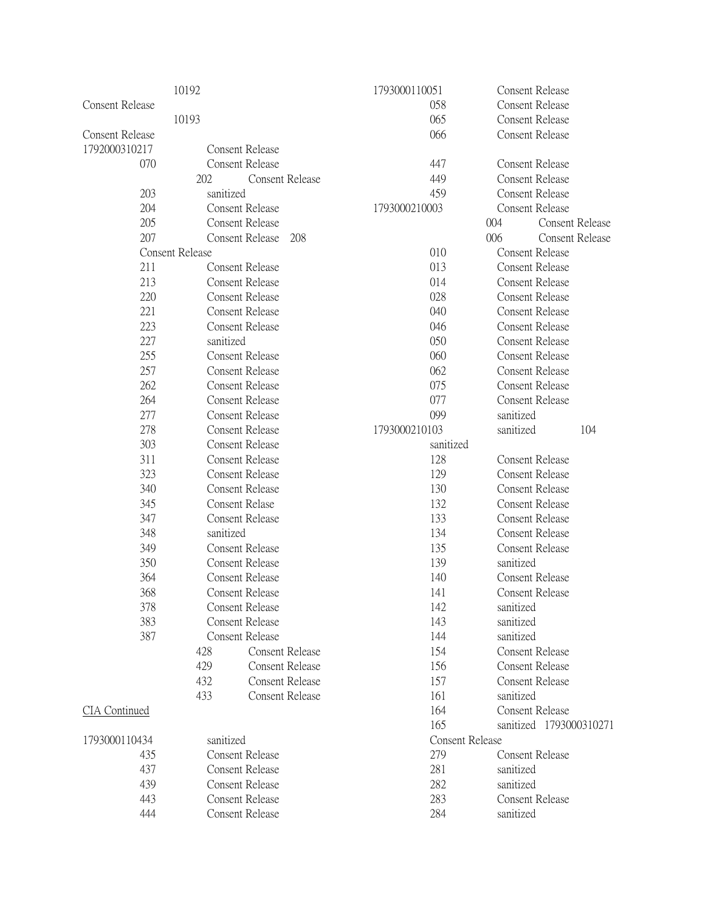|                            | 10192                  |                               | 1793000110051 |                        | Consent Release         |
|----------------------------|------------------------|-------------------------------|---------------|------------------------|-------------------------|
| <b>Consent Release</b>     |                        |                               | 058           |                        | <b>Consent Release</b>  |
|                            | 10193                  |                               | 065           |                        | <b>Consent Release</b>  |
| <b>Consent Release</b>     |                        |                               | 066           |                        | <b>Consent Release</b>  |
| 1792000310217              |                        | <b>Consent Release</b>        |               |                        |                         |
| 070                        |                        | <b>Consent Release</b>        | 447           |                        | <b>Consent Release</b>  |
|                            | 202                    | <b>Consent Release</b>        | 449           |                        | <b>Consent Release</b>  |
| 203                        | sanitized              |                               | 459           |                        | <b>Consent Release</b>  |
| 204                        |                        | <b>Consent Release</b>        | 1793000210003 |                        | <b>Consent Release</b>  |
| 205                        |                        | <b>Consent Release</b>        |               | 004                    | Consent Release         |
| 207                        |                        | <b>Consent Release</b><br>208 |               | 006                    | <b>Consent Release</b>  |
|                            | <b>Consent Release</b> |                               | 010           |                        | Consent Release         |
| 211                        |                        | <b>Consent Release</b>        | 013           |                        | <b>Consent Release</b>  |
| 213                        |                        | Consent Release               | 014           |                        | <b>Consent Release</b>  |
| 220                        |                        | <b>Consent Release</b>        | 028           |                        | <b>Consent Release</b>  |
| 221                        |                        | <b>Consent Release</b>        | 040           |                        | <b>Consent Release</b>  |
| 223                        |                        | <b>Consent Release</b>        | 046           |                        | <b>Consent Release</b>  |
| 227                        | sanitized              |                               | 050           |                        | <b>Consent Release</b>  |
| 255                        |                        | <b>Consent Release</b>        | 060           |                        | <b>Consent Release</b>  |
| 257                        |                        | <b>Consent Release</b>        | 062           |                        | <b>Consent Release</b>  |
| 262                        |                        | <b>Consent Release</b>        | 075           |                        | <b>Consent Release</b>  |
| 264                        |                        | <b>Consent Release</b>        | 077           |                        | <b>Consent Release</b>  |
| 277                        |                        | Consent Release               | 099           | sanitized              |                         |
| 278                        |                        | <b>Consent Release</b>        | 1793000210103 | sanitized              | 104                     |
| 303                        |                        | <b>Consent Release</b>        |               |                        |                         |
| 311                        |                        |                               | sanitized     |                        | <b>Consent Release</b>  |
| 323                        |                        | Consent Release               | 128           |                        |                         |
|                            |                        | Consent Release               | 129           | <b>Consent Release</b> |                         |
| 340                        |                        | <b>Consent Release</b>        | 130           | <b>Consent Release</b> |                         |
| 345                        |                        | Consent Relase                | 132           | <b>Consent Release</b> |                         |
| 347                        |                        | Consent Release               | 133           | <b>Consent Release</b> |                         |
| 348                        | sanitized              |                               | 134           | <b>Consent Release</b> |                         |
| 349                        |                        | <b>Consent Release</b>        | 135           | <b>Consent Release</b> |                         |
| 350                        |                        | <b>Consent Release</b>        | 139           | sanitized              |                         |
| 364                        |                        | <b>Consent Release</b>        | 140           | <b>Consent Release</b> |                         |
| 368                        |                        | Consent Release               | 141           |                        | <b>Consent Release</b>  |
| 378                        |                        | Consent Release               | 142           | sanitized              |                         |
| 383                        |                        | <b>Consent Release</b>        | 143           | sanitized              |                         |
| 387                        |                        | <b>Consent Release</b>        | 144           | sanitized              |                         |
|                            | 428                    | Consent Release               | 154           |                        | <b>Consent Release</b>  |
|                            | 429                    | <b>Consent Release</b>        | 156           |                        | <b>Consent Release</b>  |
|                            | 432                    | <b>Consent Release</b>        | 157           |                        | Consent Release         |
|                            | 433                    | <b>Consent Release</b>        | 161           | sanitized              |                         |
| CIA Continued              |                        |                               | 164           |                        | <b>Consent Release</b>  |
|                            |                        |                               | 165           |                        | sanitized 1793000310271 |
| 1793000110434<br>sanitized |                        | <b>Consent Release</b>        |               |                        |                         |
| 435                        |                        | Consent Release               | 279           |                        | <b>Consent Release</b>  |
| 437                        | <b>Consent Release</b> |                               | 281           | sanitized              |                         |
| 439                        | <b>Consent Release</b> |                               | 282           | sanitized              |                         |
| 443                        | <b>Consent Release</b> |                               | 283           |                        | <b>Consent Release</b>  |
| 444                        |                        | Consent Release               | 284           | sanitized              |                         |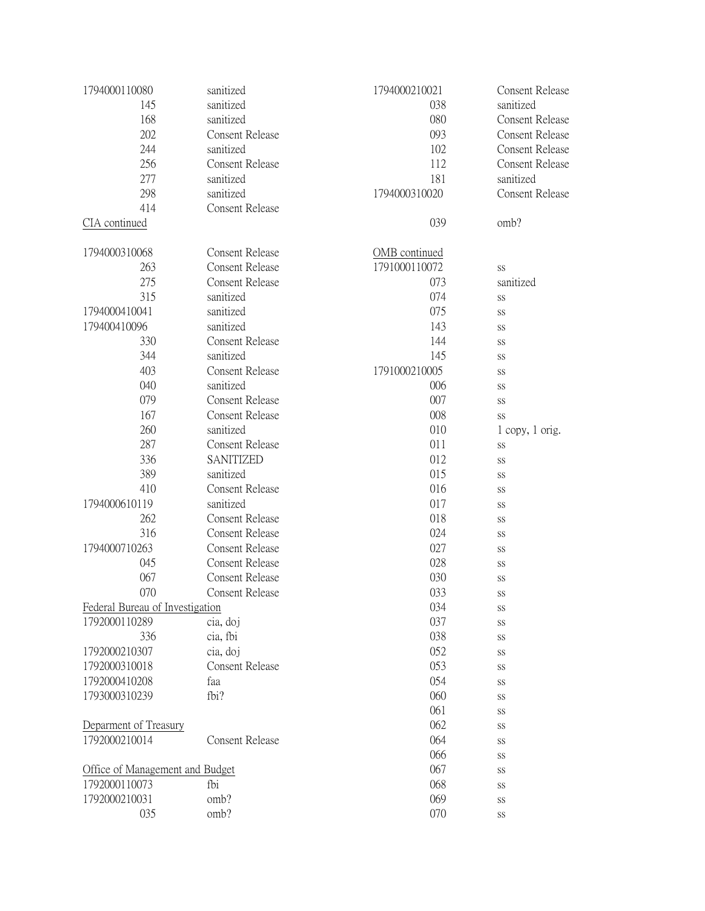| 1794000110080                   | sanitized              | 1794000210021 | <b>Consent Release</b> |
|---------------------------------|------------------------|---------------|------------------------|
| 145                             | sanitized              | 038           | sanitized              |
| 168                             | sanitized              | 080           | <b>Consent Release</b> |
| 202                             | <b>Consent Release</b> | 093           | <b>Consent Release</b> |
| 244                             | sanitized              | 102           | <b>Consent Release</b> |
| 256                             | Consent Release        | 112           | <b>Consent Release</b> |
| 277                             | sanitized              | 181           | sanitized              |
| 298                             | sanitized              | 1794000310020 | <b>Consent Release</b> |
| 414                             | <b>Consent Release</b> |               |                        |
| CIA continued                   |                        | 039           | omb?                   |
|                                 |                        |               |                        |
| 1794000310068                   | <b>Consent Release</b> | OMB continued |                        |
| 263                             | <b>Consent Release</b> | 1791000110072 | <b>SS</b>              |
| 275                             | <b>Consent Release</b> | 073           | sanitized              |
| 315                             | sanitized              | 074           | <b>SS</b>              |
| 1794000410041                   | sanitized              | 075           |                        |
| 179400410096                    | sanitized              | 143           | SS                     |
|                                 |                        |               | SS                     |
| 330                             | Consent Release        | 144           | SS                     |
| 344                             | sanitized              | 145           | SS                     |
| 403                             | <b>Consent Release</b> | 1791000210005 | SS                     |
| 040                             | sanitized              | 006           | SS                     |
| 079                             | <b>Consent Release</b> | 007           | SS                     |
| 167                             | <b>Consent Release</b> | 008           | SS                     |
| 260                             | sanitized              | 010           | $1$ copy, $1$ orig.    |
| 287                             | <b>Consent Release</b> | 011           | SS                     |
| 336                             | SANITIZED              | 012           | SS                     |
| 389                             | sanitized              | 015           | SS                     |
| 410                             | <b>Consent Release</b> | 016           | SS                     |
| 1794000610119                   | sanitized              | 017           | SS                     |
| 262                             | Consent Release        | 018           | SS                     |
| 316                             | <b>Consent Release</b> | 024           | SS                     |
| 1794000710263                   | <b>Consent Release</b> | 027           | SS                     |
| 045                             | <b>Consent Release</b> | 028           | SS                     |
| 067                             | <b>Consent Release</b> | 030           | SS                     |
| 070                             | <b>Consent Release</b> | 033           |                        |
|                                 |                        |               | SS                     |
| Federal Bureau of Investigation |                        | 034           | SS                     |
| 1792000110289                   | cia, doj               | 037           | SS                     |
| 336                             | cia, fbi               | 038           | SS                     |
| 1792000210307                   | cia, doj               | 052           | SS                     |
| 1792000310018                   | <b>Consent Release</b> | 053           | SS                     |
| 1792000410208                   | faa                    | 054           | SS                     |
| 1793000310239                   | fbi?                   | 060           | SS                     |
|                                 |                        | 061           | SS                     |
| Deparment of Treasury           |                        | 062           | SS                     |
| 1792000210014                   | <b>Consent Release</b> | 064           | SS                     |
|                                 |                        | 066           | SS                     |
| Office of Management and Budget |                        | 067           | SS                     |
| 1792000110073                   | fbi                    | 068           | SS                     |
| 1792000210031                   | omb?                   | 069           | SS                     |
| 035                             | omb?                   | 070           | $\rm SS$               |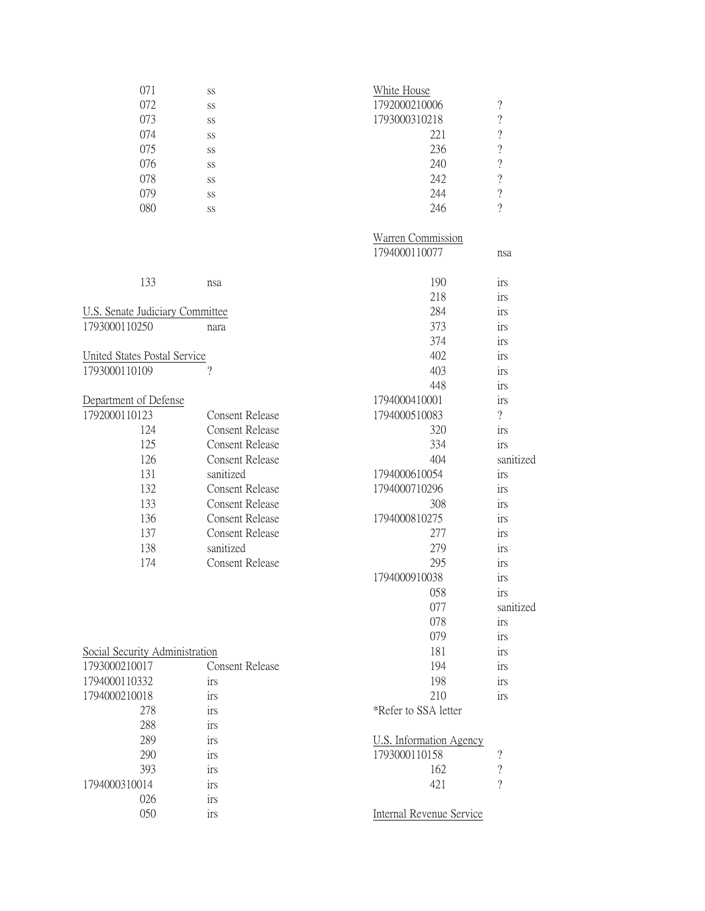| 071 | SS | White House   |                          |
|-----|----|---------------|--------------------------|
| 072 | SS | 1792000210006 | $\overline{\mathcal{L}}$ |
| 073 | SS | 1793000310218 | $\overline{\cdot}$       |
| 074 | SS | 221           | $\gamma$                 |
| 075 | SS | 236           | $\overline{\mathcal{L}}$ |
| 076 | SS | 240           | $\overline{\cdot}$       |
| 078 | SS | 242           | $\gamma$                 |
| 079 | SS | 244           | $\overline{\cdot}$       |
| 080 | SS | 246           | ?                        |

|                                        |                        | Warren Commission              |                          |
|----------------------------------------|------------------------|--------------------------------|--------------------------|
|                                        |                        | 1794000110077                  | nsa                      |
| 133                                    | nsa                    | 190                            | irs                      |
|                                        |                        | 218                            | irs                      |
| <b>U.S. Senate Judiciary Committee</b> |                        | 284                            | irs                      |
| 1793000110250                          | nara                   | 373                            | irs                      |
|                                        |                        | 374                            | irs                      |
| United States Postal Service           |                        | 402                            | irs                      |
| 1793000110109                          | $\gamma$               | 403                            | irs                      |
|                                        |                        | 448                            | irs                      |
| Department of Defense                  |                        | 1794000410001                  | irs                      |
| 1792000110123                          | <b>Consent Release</b> | 1794000510083                  | $\overline{\mathcal{L}}$ |
| 124                                    | Consent Release        | 320                            | irs                      |
| 125                                    | <b>Consent Release</b> | 334                            | irs                      |
| 126                                    | <b>Consent Release</b> | 404                            | sanitized                |
| 131                                    | sanitized              | 1794000610054                  | irs                      |
| 132                                    | <b>Consent Release</b> | 1794000710296                  | irs                      |
| 133                                    | <b>Consent Release</b> | 308                            | irs                      |
| 136                                    | <b>Consent Release</b> | 1794000810275                  | irs                      |
| 137                                    | <b>Consent Release</b> | 277                            | irs                      |
| 138                                    | sanitized              | 279                            | irs                      |
| 174                                    | <b>Consent Release</b> | 295                            | irs                      |
|                                        |                        | 1794000910038                  | irs                      |
|                                        |                        | 058                            | irs                      |
|                                        |                        | 077                            | sanitized                |
|                                        |                        | 078                            | irs                      |
|                                        |                        | 079                            | irs                      |
| Social Security Administration         |                        | 181                            | irs                      |
| 1793000210017                          | <b>Consent Release</b> | 194                            | irs                      |
| 1794000110332                          | irs                    | 198                            | irs                      |
| 1794000210018                          | irs                    | 210                            | irs                      |
| 278                                    | irs                    | *Refer to SSA letter           |                          |
| 288                                    | irs                    |                                |                          |
| 289                                    | irs                    | <b>U.S. Information Agency</b> |                          |
| 290                                    | irs                    | 1793000110158                  | $\overline{\mathcal{L}}$ |
| 393                                    | irs                    | 162                            | $\overline{\mathcal{L}}$ |
| 1794000310014                          | irs                    | 421                            | $\overline{?}$           |
| 026                                    | irs                    |                                |                          |
| 050                                    | irs                    | Internal Revenue Service       |                          |